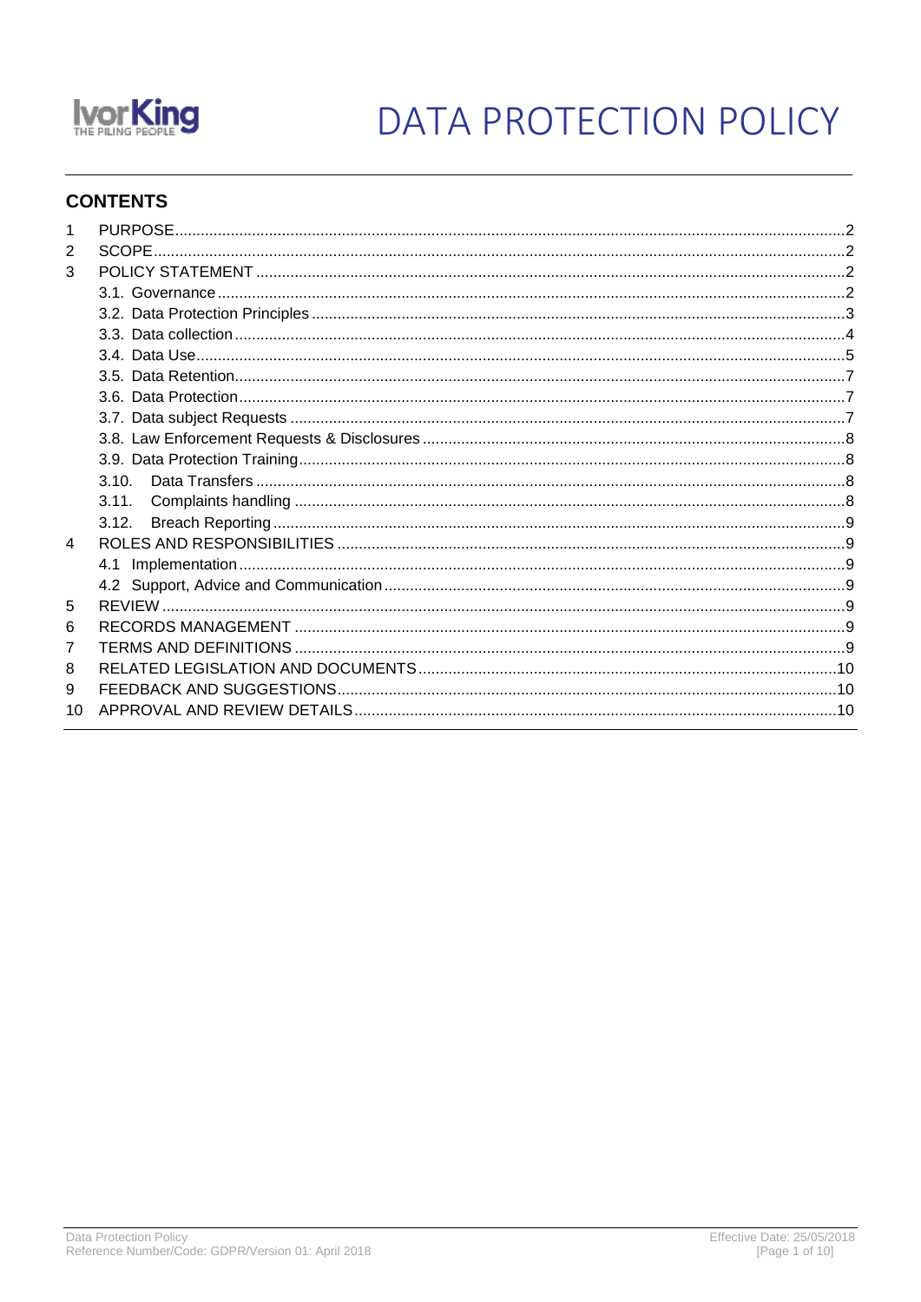

# DATA PROTECTION POLICY

## **CONTENTS**

| 2  |       |  |
|----|-------|--|
| 3  |       |  |
|    |       |  |
|    |       |  |
|    |       |  |
|    |       |  |
|    |       |  |
|    |       |  |
|    |       |  |
|    |       |  |
|    |       |  |
|    |       |  |
|    | 3.11. |  |
|    |       |  |
| 4  |       |  |
|    |       |  |
|    |       |  |
| 5  |       |  |
| 6  |       |  |
| 7  |       |  |
| 8  |       |  |
| 9  |       |  |
| 10 |       |  |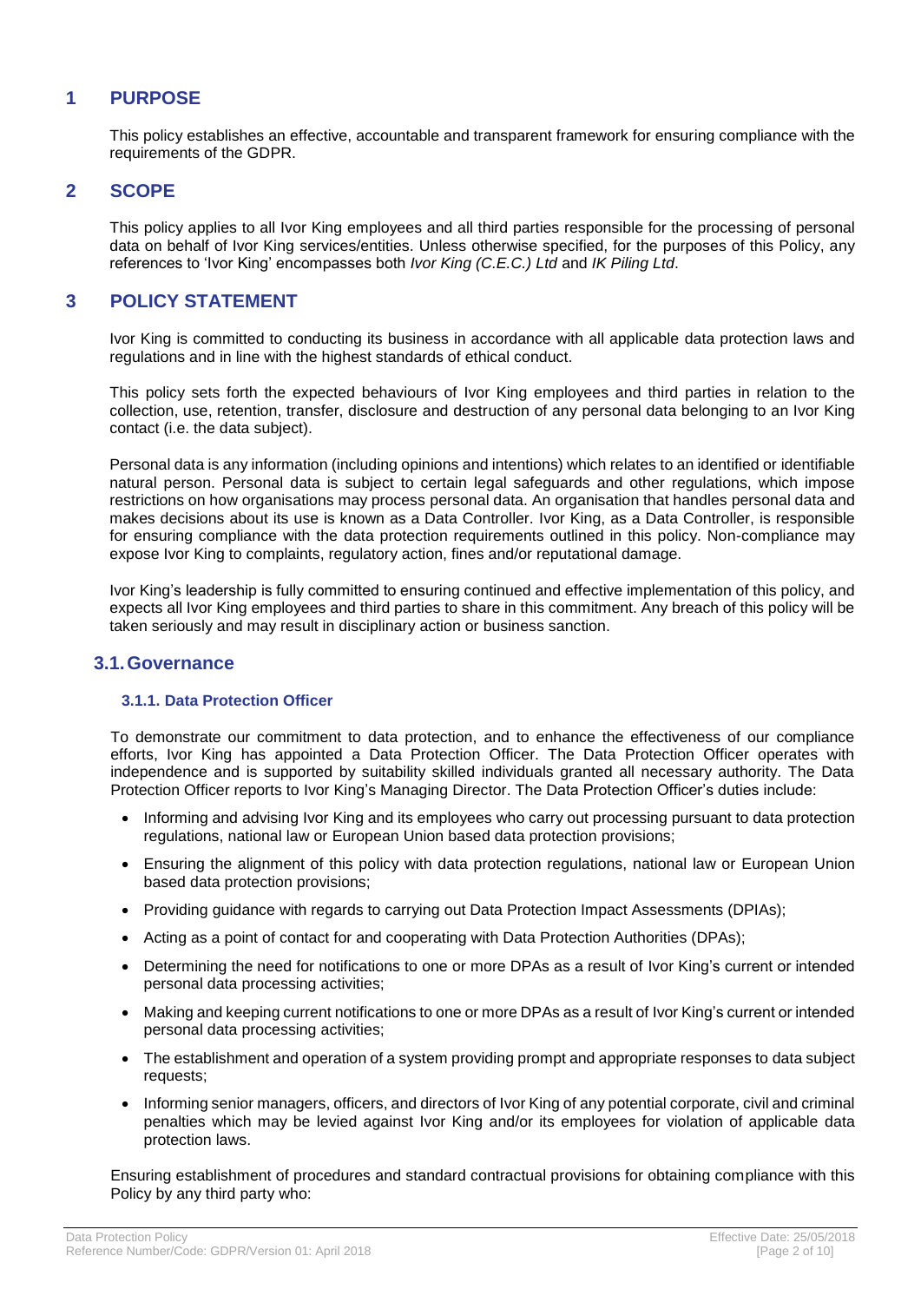## <span id="page-1-0"></span>**1 PURPOSE**

This policy establishes an effective, accountable and transparent framework for ensuring compliance with the requirements of the GDPR.

## <span id="page-1-1"></span>**2 SCOPE**

This policy applies to all Ivor King employees and all third parties responsible for the processing of personal data on behalf of Ivor King services/entities. Unless otherwise specified, for the purposes of this Policy, any references to 'Ivor King' encompasses both *Ivor King (C.E.C.) Ltd* and *IK Piling Ltd*.

## <span id="page-1-2"></span>**3 POLICY STATEMENT**

Ivor King is committed to conducting its business in accordance with all applicable data protection laws and regulations and in line with the highest standards of ethical conduct.

This policy sets forth the expected behaviours of Ivor King employees and third parties in relation to the collection, use, retention, transfer, disclosure and destruction of any personal data belonging to an Ivor King contact (i.e. the data subject).

Personal data is any information (including opinions and intentions) which relates to an identified or identifiable natural person. Personal data is subject to certain legal safeguards and other regulations, which impose restrictions on how organisations may process personal data. An organisation that handles personal data and makes decisions about its use is known as a Data Controller. Ivor King, as a Data Controller, is responsible for ensuring compliance with the data protection requirements outlined in this policy. Non-compliance may expose Ivor King to complaints, regulatory action, fines and/or reputational damage.

Ivor King's leadership is fully committed to ensuring continued and effective implementation of this policy, and expects all Ivor King employees and third parties to share in this commitment. Any breach of this policy will be taken seriously and may result in disciplinary action or business sanction.

## <span id="page-1-3"></span>**3.1.Governance**

#### **3.1.1. Data Protection Officer**

To demonstrate our commitment to data protection, and to enhance the effectiveness of our compliance efforts, Ivor King has appointed a Data Protection Officer. The Data Protection Officer operates with independence and is supported by suitability skilled individuals granted all necessary authority. The Data Protection Officer reports to Ivor King's Managing Director. The Data Protection Officer's duties include:

- Informing and advising Ivor King and its employees who carry out processing pursuant to data protection regulations, national law or European Union based data protection provisions;
- Ensuring the alignment of this policy with data protection regulations, national law or European Union based data protection provisions;
- Providing guidance with regards to carrying out Data Protection Impact Assessments (DPIAs);
- Acting as a point of contact for and cooperating with Data Protection Authorities (DPAs);
- Determining the need for notifications to one or more DPAs as a result of Ivor King's current or intended personal data processing activities;
- Making and keeping current notifications to one or more DPAs as a result of Ivor King's current or intended personal data processing activities;
- The establishment and operation of a system providing prompt and appropriate responses to data subject requests;
- Informing senior managers, officers, and directors of Ivor King of any potential corporate, civil and criminal penalties which may be levied against Ivor King and/or its employees for violation of applicable data protection laws.

Ensuring establishment of procedures and standard contractual provisions for obtaining compliance with this Policy by any third party who: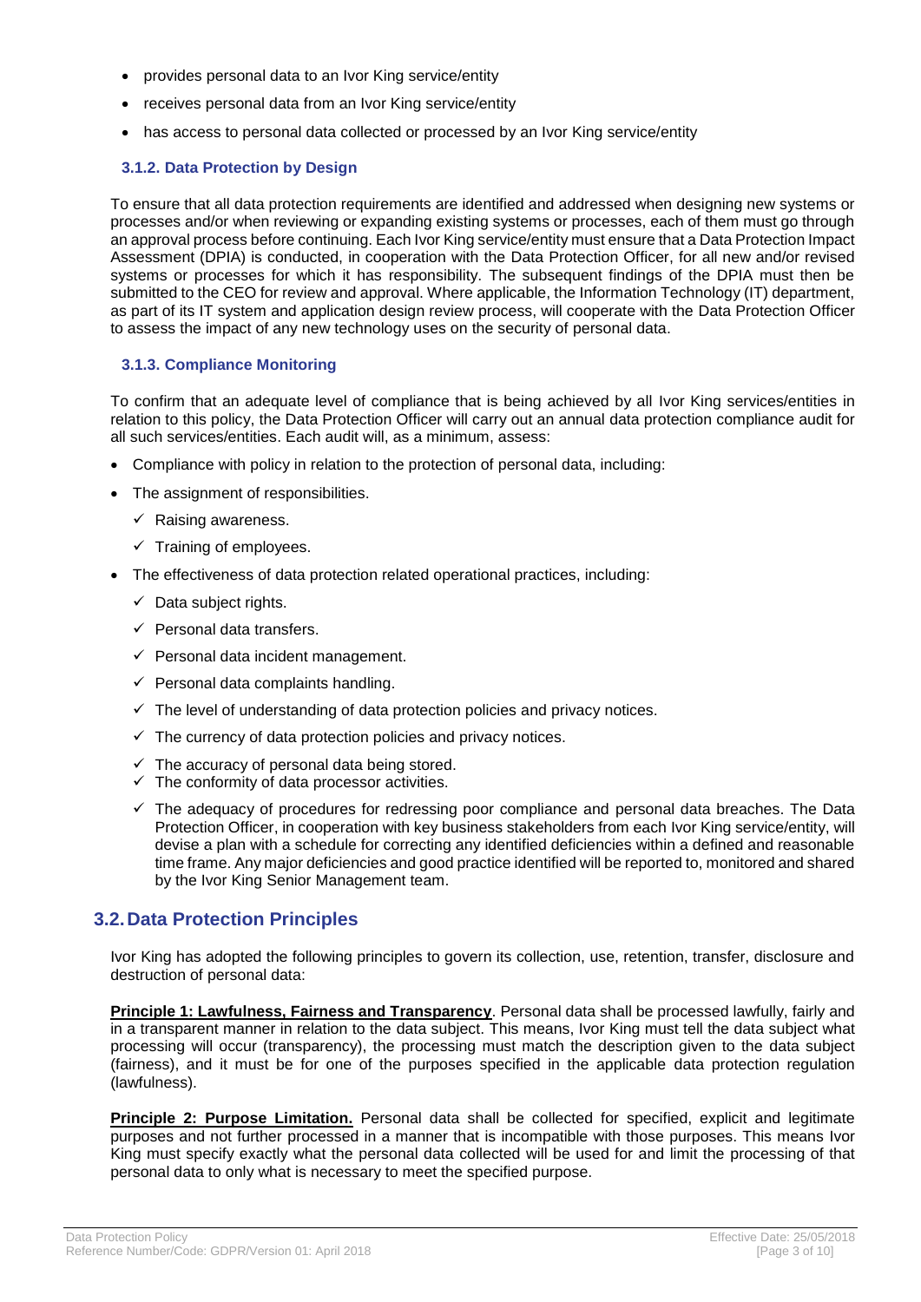- provides personal data to an Ivor King service/entity
- receives personal data from an Ivor King service/entity
- has access to personal data collected or processed by an Ivor King service/entity

## **3.1.2. Data Protection by Design**

To ensure that all data protection requirements are identified and addressed when designing new systems or processes and/or when reviewing or expanding existing systems or processes, each of them must go through an approval process before continuing. Each Ivor King service/entity must ensure that a Data Protection Impact Assessment (DPIA) is conducted, in cooperation with the Data Protection Officer, for all new and/or revised systems or processes for which it has responsibility. The subsequent findings of the DPIA must then be submitted to the CEO for review and approval. Where applicable, the Information Technology (IT) department, as part of its IT system and application design review process, will cooperate with the Data Protection Officer to assess the impact of any new technology uses on the security of personal data.

#### **3.1.3. Compliance Monitoring**

To confirm that an adequate level of compliance that is being achieved by all Ivor King services/entities in relation to this policy, the Data Protection Officer will carry out an annual data protection compliance audit for all such services/entities. Each audit will, as a minimum, assess:

- Compliance with policy in relation to the protection of personal data, including:
- The assignment of responsibilities.
	- $\checkmark$  Raising awareness.
	- $\checkmark$  Training of employees.
- The effectiveness of data protection related operational practices, including:
	- $\checkmark$  Data subject rights.
	- $\checkmark$  Personal data transfers.
	- $\checkmark$  Personal data incident management.
	- $\checkmark$  Personal data complaints handling.
	- $\checkmark$  The level of understanding of data protection policies and privacy notices.
	- $\checkmark$  The currency of data protection policies and privacy notices.
	- $\checkmark$  The accuracy of personal data being stored.
	- $\checkmark$  The conformity of data processor activities.
	- ✓ The adequacy of procedures for redressing poor compliance and personal data breaches. The Data Protection Officer, in cooperation with key business stakeholders from each Ivor King service/entity, will devise a plan with a schedule for correcting any identified deficiencies within a defined and reasonable time frame. Any major deficiencies and good practice identified will be reported to, monitored and shared by the Ivor King Senior Management team.

## <span id="page-2-0"></span>**3.2.Data Protection Principles**

Ivor King has adopted the following principles to govern its collection, use, retention, transfer, disclosure and destruction of personal data:

**Principle 1: Lawfulness, Fairness and Transparency**. Personal data shall be processed lawfully, fairly and in a transparent manner in relation to the data subject. This means, Ivor King must tell the data subject what processing will occur (transparency), the processing must match the description given to the data subject (fairness), and it must be for one of the purposes specified in the applicable data protection regulation (lawfulness).

**Principle 2: Purpose Limitation.** Personal data shall be collected for specified, explicit and legitimate purposes and not further processed in a manner that is incompatible with those purposes. This means Ivor King must specify exactly what the personal data collected will be used for and limit the processing of that personal data to only what is necessary to meet the specified purpose.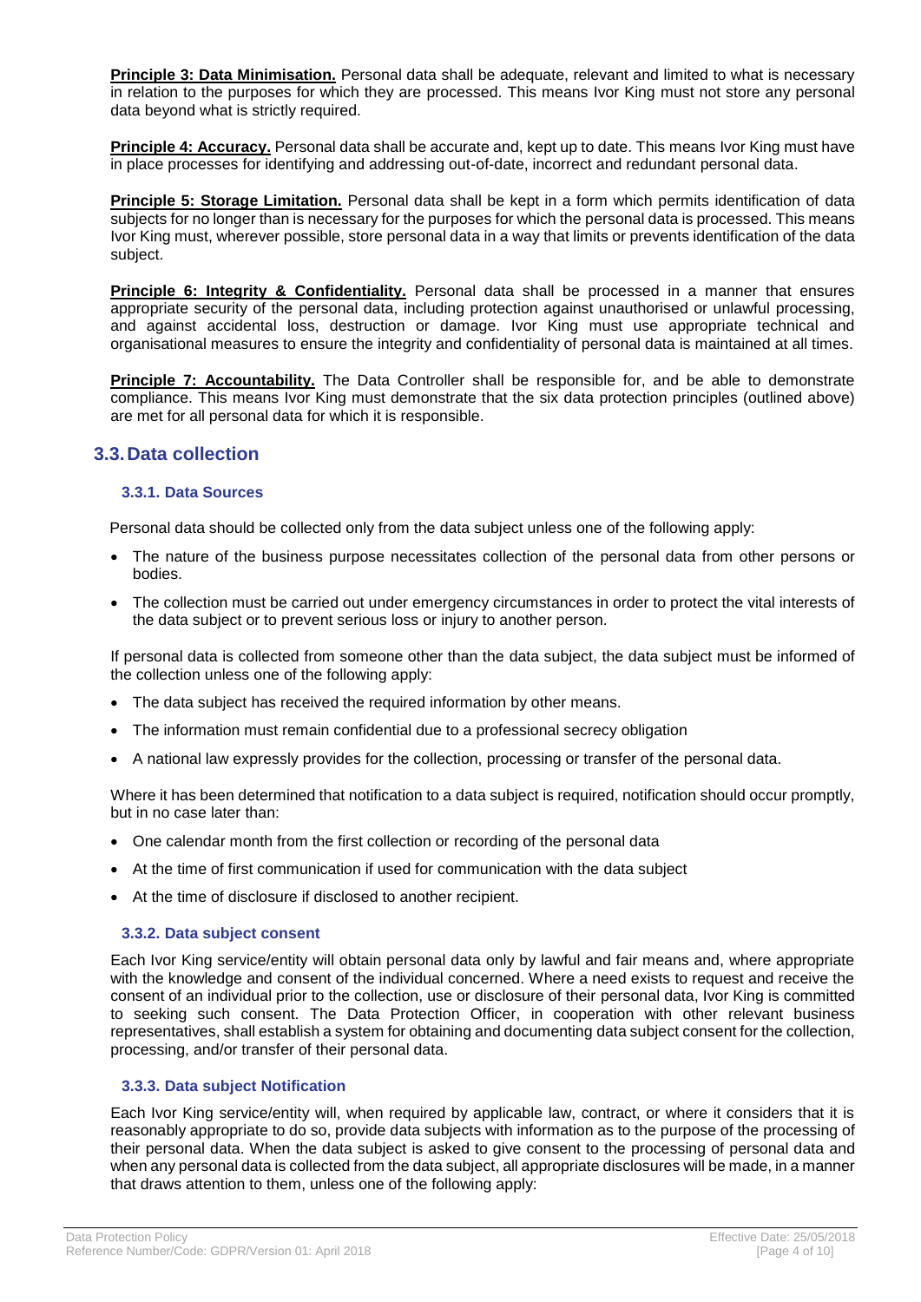**Principle 3: Data Minimisation.** Personal data shall be adequate, relevant and limited to what is necessary in relation to the purposes for which they are processed. This means Ivor King must not store any personal data beyond what is strictly required.

**Principle 4: Accuracy.** Personal data shall be accurate and, kept up to date. This means Ivor King must have in place processes for identifying and addressing out-of-date, incorrect and redundant personal data.

**Principle 5: Storage Limitation.** Personal data shall be kept in a form which permits identification of data subjects for no longer than is necessary for the purposes for which the personal data is processed. This means Ivor King must, wherever possible, store personal data in a way that limits or prevents identification of the data subject.

**Principle 6: Integrity & Confidentiality.** Personal data shall be processed in a manner that ensures appropriate security of the personal data, including protection against unauthorised or unlawful processing, and against accidental loss, destruction or damage. Ivor King must use appropriate technical and organisational measures to ensure the integrity and confidentiality of personal data is maintained at all times.

Principle 7: Accountability. The Data Controller shall be responsible for, and be able to demonstrate compliance. This means Ivor King must demonstrate that the six data protection principles (outlined above) are met for all personal data for which it is responsible.

## <span id="page-3-0"></span>**3.3.Data collection**

#### **3.3.1. Data Sources**

Personal data should be collected only from the data subject unless one of the following apply:

- The nature of the business purpose necessitates collection of the personal data from other persons or bodies.
- The collection must be carried out under emergency circumstances in order to protect the vital interests of the data subject or to prevent serious loss or injury to another person.

If personal data is collected from someone other than the data subject, the data subject must be informed of the collection unless one of the following apply:

- The data subject has received the required information by other means.
- The information must remain confidential due to a professional secrecy obligation
- A national law expressly provides for the collection, processing or transfer of the personal data.

Where it has been determined that notification to a data subject is required, notification should occur promptly, but in no case later than:

- One calendar month from the first collection or recording of the personal data
- At the time of first communication if used for communication with the data subject
- At the time of disclosure if disclosed to another recipient.

#### **3.3.2. Data subject consent**

Each Ivor King service/entity will obtain personal data only by lawful and fair means and, where appropriate with the knowledge and consent of the individual concerned. Where a need exists to request and receive the consent of an individual prior to the collection, use or disclosure of their personal data, Ivor King is committed to seeking such consent. The Data Protection Officer, in cooperation with other relevant business representatives, shall establish a system for obtaining and documenting data subject consent for the collection, processing, and/or transfer of their personal data.

#### **3.3.3. Data subject Notification**

Each Ivor King service/entity will, when required by applicable law, contract, or where it considers that it is reasonably appropriate to do so, provide data subjects with information as to the purpose of the processing of their personal data. When the data subject is asked to give consent to the processing of personal data and when any personal data is collected from the data subject, all appropriate disclosures will be made, in a manner that draws attention to them, unless one of the following apply: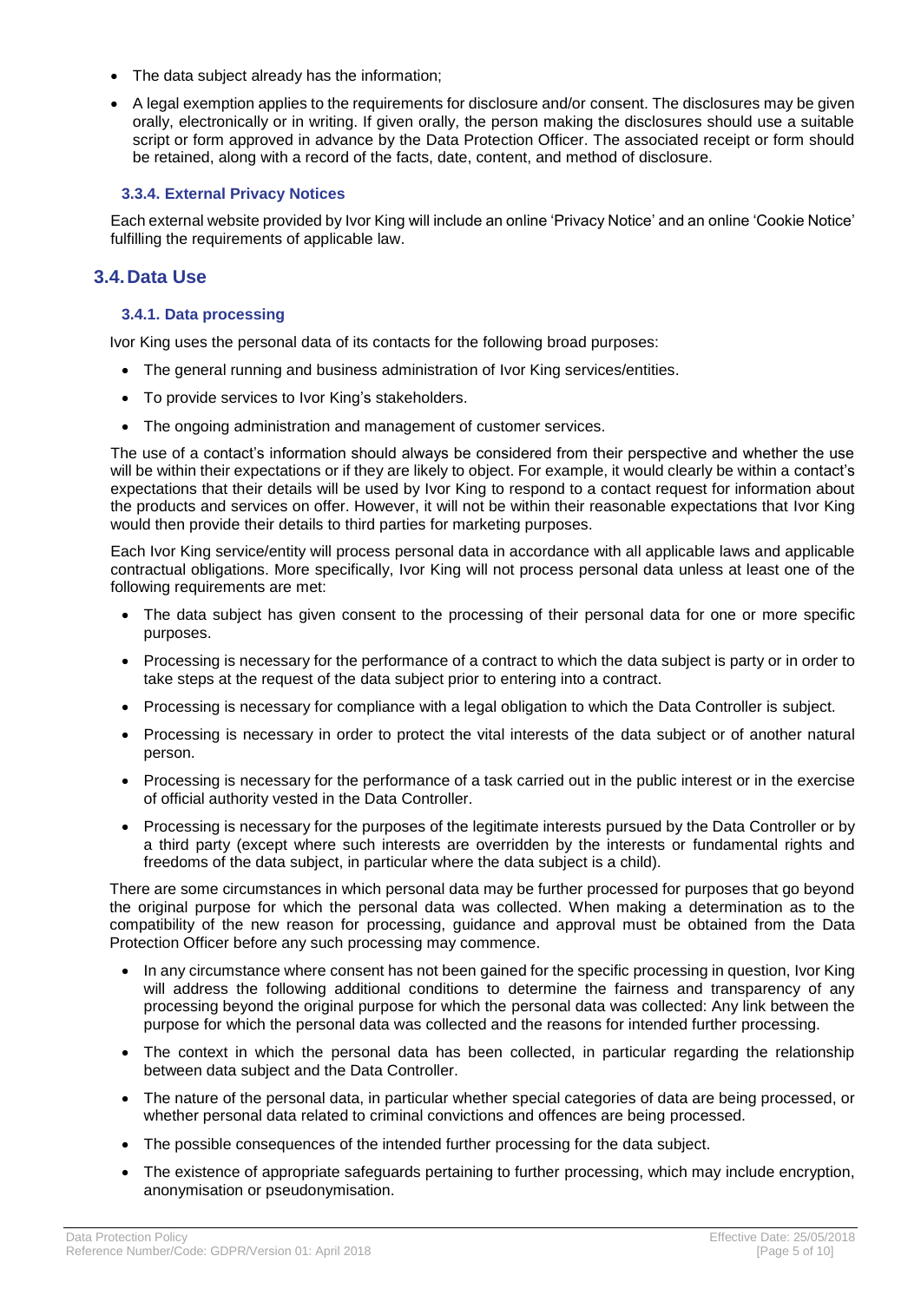- The data subject already has the information;
- A legal exemption applies to the requirements for disclosure and/or consent. The disclosures may be given orally, electronically or in writing. If given orally, the person making the disclosures should use a suitable script or form approved in advance by the Data Protection Officer. The associated receipt or form should be retained, along with a record of the facts, date, content, and method of disclosure.

#### **3.3.4. External Privacy Notices**

Each external website provided by Ivor King will include an online 'Privacy Notice' and an online 'Cookie Notice' fulfilling the requirements of applicable law.

## <span id="page-4-0"></span>**3.4.Data Use**

#### **3.4.1. Data processing**

Ivor King uses the personal data of its contacts for the following broad purposes:

- The general running and business administration of Ivor King services/entities.
- To provide services to Ivor King's stakeholders.
- The ongoing administration and management of customer services.

The use of a contact's information should always be considered from their perspective and whether the use will be within their expectations or if they are likely to object. For example, it would clearly be within a contact's expectations that their details will be used by Ivor King to respond to a contact request for information about the products and services on offer. However, it will not be within their reasonable expectations that Ivor King would then provide their details to third parties for marketing purposes.

Each Ivor King service/entity will process personal data in accordance with all applicable laws and applicable contractual obligations. More specifically, Ivor King will not process personal data unless at least one of the following requirements are met:

- The data subject has given consent to the processing of their personal data for one or more specific purposes.
- Processing is necessary for the performance of a contract to which the data subject is party or in order to take steps at the request of the data subject prior to entering into a contract.
- Processing is necessary for compliance with a legal obligation to which the Data Controller is subject.
- Processing is necessary in order to protect the vital interests of the data subject or of another natural person.
- Processing is necessary for the performance of a task carried out in the public interest or in the exercise of official authority vested in the Data Controller.
- Processing is necessary for the purposes of the legitimate interests pursued by the Data Controller or by a third party (except where such interests are overridden by the interests or fundamental rights and freedoms of the data subject, in particular where the data subject is a child).

There are some circumstances in which personal data may be further processed for purposes that go beyond the original purpose for which the personal data was collected. When making a determination as to the compatibility of the new reason for processing, guidance and approval must be obtained from the Data Protection Officer before any such processing may commence.

- In any circumstance where consent has not been gained for the specific processing in question, Ivor King will address the following additional conditions to determine the fairness and transparency of any processing beyond the original purpose for which the personal data was collected: Any link between the purpose for which the personal data was collected and the reasons for intended further processing.
- The context in which the personal data has been collected, in particular regarding the relationship between data subject and the Data Controller.
- The nature of the personal data, in particular whether special categories of data are being processed, or whether personal data related to criminal convictions and offences are being processed.
- The possible consequences of the intended further processing for the data subject.
- The existence of appropriate safeguards pertaining to further processing, which may include encryption, anonymisation or pseudonymisation.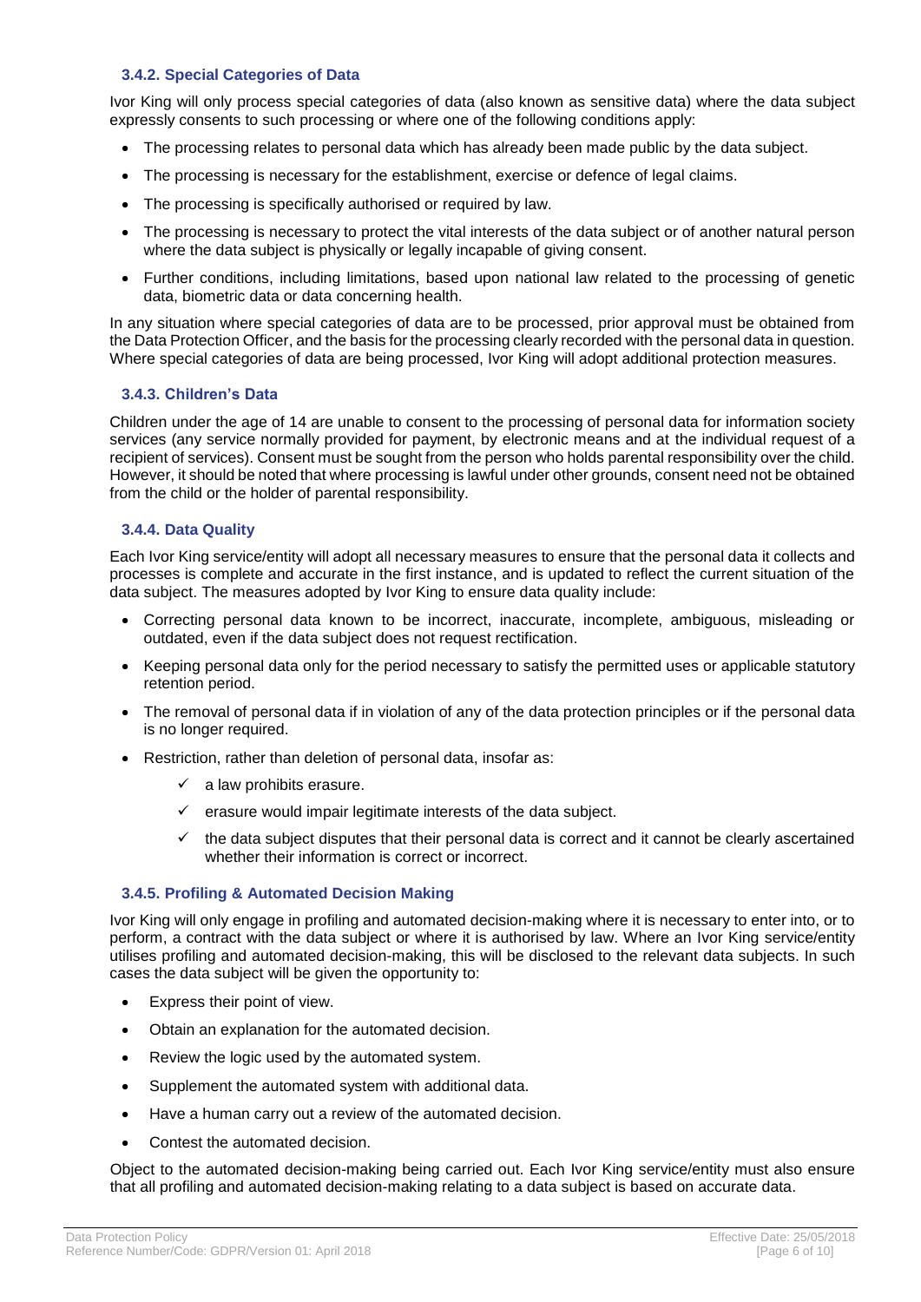#### **3.4.2. Special Categories of Data**

Ivor King will only process special categories of data (also known as sensitive data) where the data subject expressly consents to such processing or where one of the following conditions apply:

- The processing relates to personal data which has already been made public by the data subject.
- The processing is necessary for the establishment, exercise or defence of legal claims.
- The processing is specifically authorised or required by law.
- The processing is necessary to protect the vital interests of the data subject or of another natural person where the data subject is physically or legally incapable of giving consent.
- Further conditions, including limitations, based upon national law related to the processing of genetic data, biometric data or data concerning health.

In any situation where special categories of data are to be processed, prior approval must be obtained from the Data Protection Officer, and the basis for the processing clearly recorded with the personal data in question. Where special categories of data are being processed, Ivor King will adopt additional protection measures.

#### **3.4.3. Children's Data**

Children under the age of 14 are unable to consent to the processing of personal data for information society services (any service normally provided for payment, by electronic means and at the individual request of a recipient of services). Consent must be sought from the person who holds parental responsibility over the child. However, it should be noted that where processing is lawful under other grounds, consent need not be obtained from the child or the holder of parental responsibility.

#### **3.4.4. Data Quality**

Each Ivor King service/entity will adopt all necessary measures to ensure that the personal data it collects and processes is complete and accurate in the first instance, and is updated to reflect the current situation of the data subject. The measures adopted by Ivor King to ensure data quality include:

- Correcting personal data known to be incorrect, inaccurate, incomplete, ambiguous, misleading or outdated, even if the data subject does not request rectification.
- Keeping personal data only for the period necessary to satisfy the permitted uses or applicable statutory retention period.
- The removal of personal data if in violation of any of the data protection principles or if the personal data is no longer required.
- Restriction, rather than deletion of personal data, insofar as:
	- $\checkmark$  a law prohibits erasure.
	- $\checkmark$  erasure would impair legitimate interests of the data subject.
	- $\checkmark$  the data subject disputes that their personal data is correct and it cannot be clearly ascertained whether their information is correct or incorrect.

#### **3.4.5. Profiling & Automated Decision Making**

Ivor King will only engage in profiling and automated decision-making where it is necessary to enter into, or to perform, a contract with the data subject or where it is authorised by law. Where an Ivor King service/entity utilises profiling and automated decision-making, this will be disclosed to the relevant data subjects. In such cases the data subject will be given the opportunity to:

- Express their point of view.
- Obtain an explanation for the automated decision.
- Review the logic used by the automated system.
- Supplement the automated system with additional data.
- Have a human carry out a review of the automated decision.
- Contest the automated decision.

Object to the automated decision-making being carried out. Each Ivor King service/entity must also ensure that all profiling and automated decision-making relating to a data subject is based on accurate data.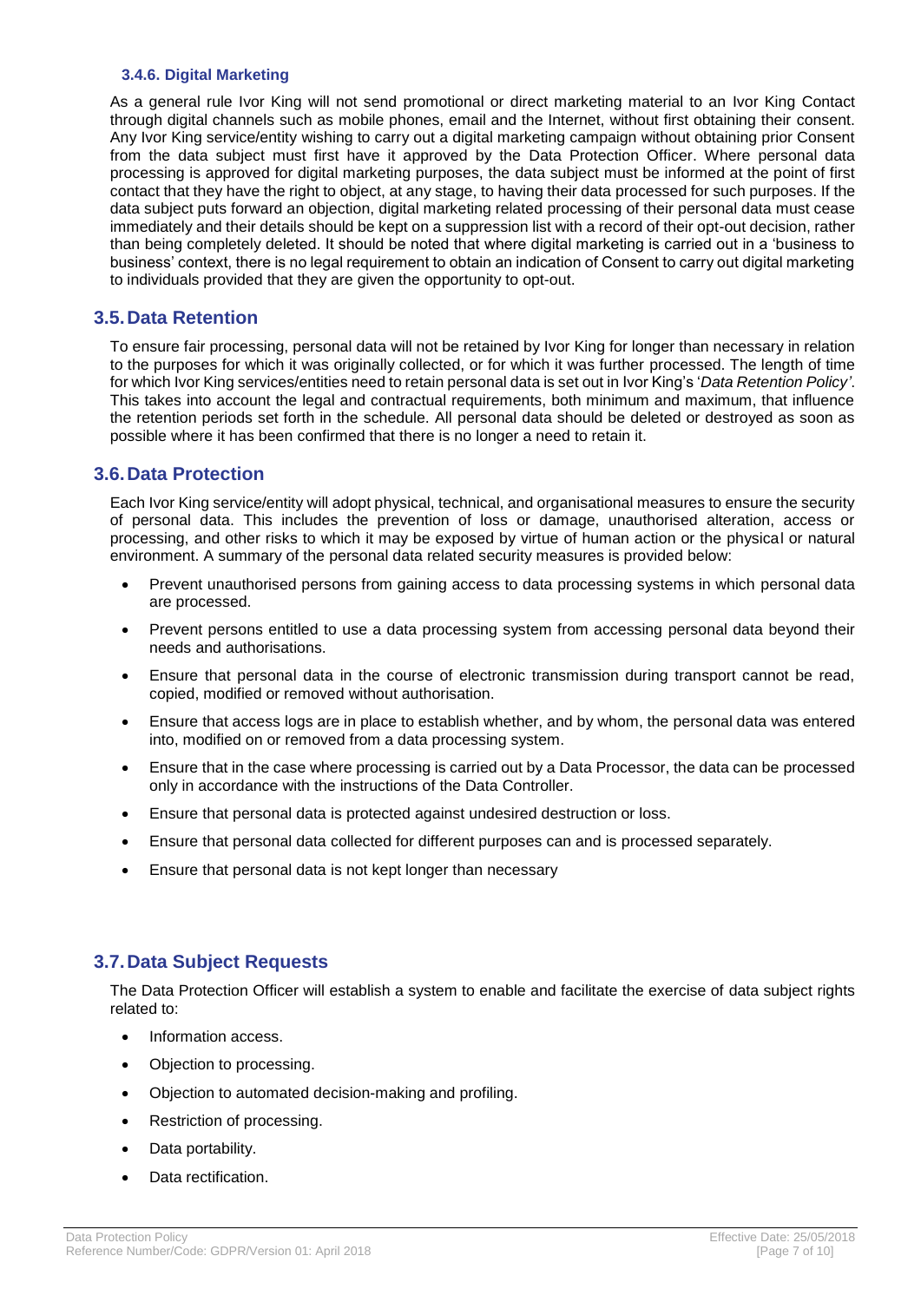#### **3.4.6. Digital Marketing**

As a general rule Ivor King will not send promotional or direct marketing material to an Ivor King Contact through digital channels such as mobile phones, email and the Internet, without first obtaining their consent. Any Ivor King service/entity wishing to carry out a digital marketing campaign without obtaining prior Consent from the data subject must first have it approved by the Data Protection Officer. Where personal data processing is approved for digital marketing purposes, the data subject must be informed at the point of first contact that they have the right to object, at any stage, to having their data processed for such purposes. If the data subject puts forward an objection, digital marketing related processing of their personal data must cease immediately and their details should be kept on a suppression list with a record of their opt-out decision, rather than being completely deleted. It should be noted that where digital marketing is carried out in a 'business to business' context, there is no legal requirement to obtain an indication of Consent to carry out digital marketing to individuals provided that they are given the opportunity to opt-out.

## <span id="page-6-0"></span>**3.5.Data Retention**

To ensure fair processing, personal data will not be retained by Ivor King for longer than necessary in relation to the purposes for which it was originally collected, or for which it was further processed. The length of time for which Ivor King services/entities need to retain personal data is set out in Ivor King's '*Data Retention Policy'*. This takes into account the legal and contractual requirements, both minimum and maximum, that influence the retention periods set forth in the schedule. All personal data should be deleted or destroyed as soon as possible where it has been confirmed that there is no longer a need to retain it.

## <span id="page-6-1"></span>**3.6.Data Protection**

Each Ivor King service/entity will adopt physical, technical, and organisational measures to ensure the security of personal data. This includes the prevention of loss or damage, unauthorised alteration, access or processing, and other risks to which it may be exposed by virtue of human action or the physical or natural environment. A summary of the personal data related security measures is provided below:

- Prevent unauthorised persons from gaining access to data processing systems in which personal data are processed.
- Prevent persons entitled to use a data processing system from accessing personal data beyond their needs and authorisations.
- Ensure that personal data in the course of electronic transmission during transport cannot be read, copied, modified or removed without authorisation.
- Ensure that access logs are in place to establish whether, and by whom, the personal data was entered into, modified on or removed from a data processing system.
- Ensure that in the case where processing is carried out by a Data Processor, the data can be processed only in accordance with the instructions of the Data Controller.
- Ensure that personal data is protected against undesired destruction or loss.
- Ensure that personal data collected for different purposes can and is processed separately.
- Ensure that personal data is not kept longer than necessary

## <span id="page-6-2"></span>**3.7.Data Subject Requests**

The Data Protection Officer will establish a system to enable and facilitate the exercise of data subject rights related to:

- Information access.
- Objection to processing.
- Objection to automated decision-making and profiling.
- Restriction of processing.
- Data portability.
- Data rectification.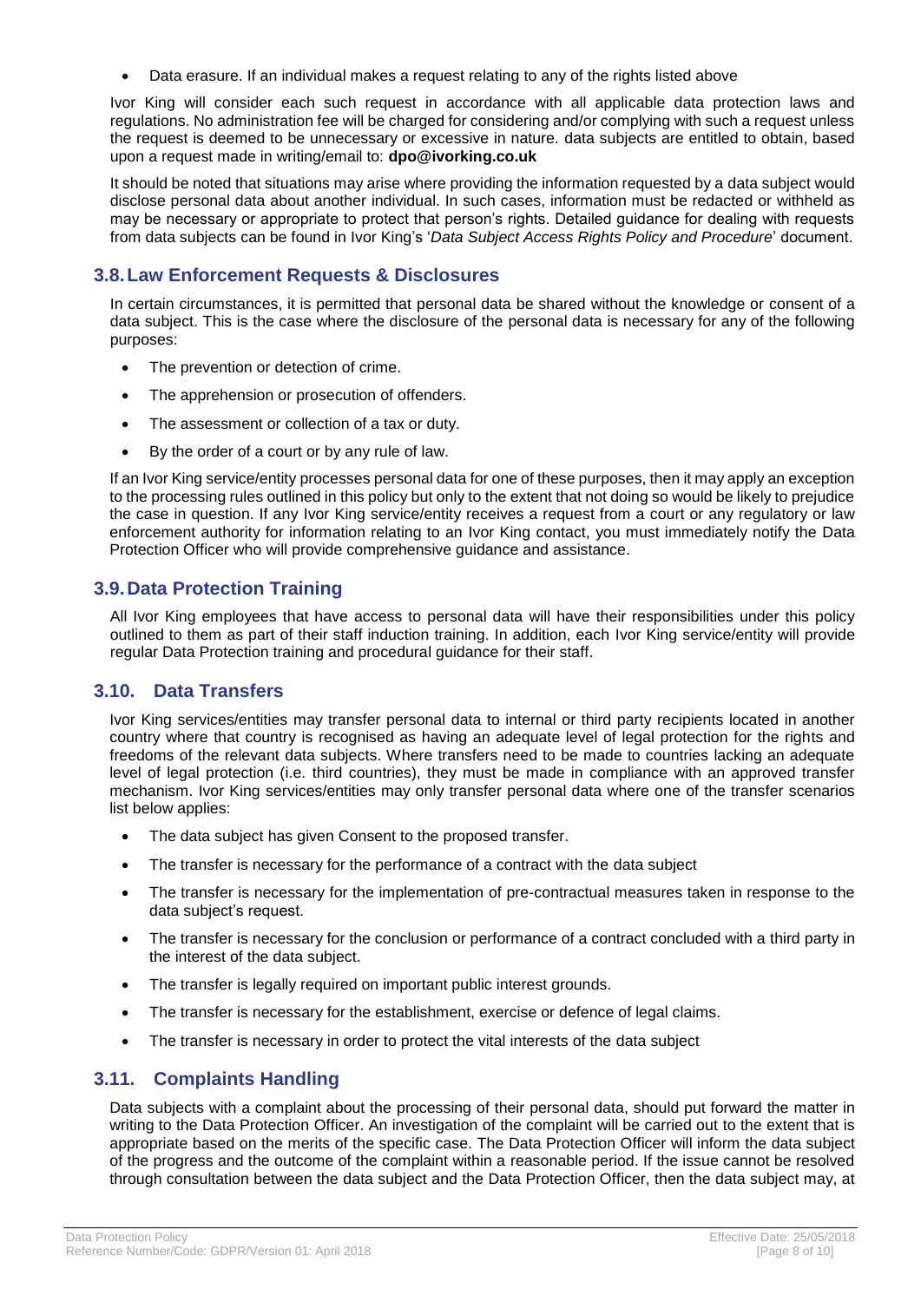• Data erasure. If an individual makes a request relating to any of the rights listed above

Ivor King will consider each such request in accordance with all applicable data protection laws and regulations. No administration fee will be charged for considering and/or complying with such a request unless the request is deemed to be unnecessary or excessive in nature. data subjects are entitled to obtain, based upon a request made in writing/email to: **dpo@ivorking.co.uk**

It should be noted that situations may arise where providing the information requested by a data subject would disclose personal data about another individual. In such cases, information must be redacted or withheld as may be necessary or appropriate to protect that person's rights. Detailed guidance for dealing with requests from data subjects can be found in Ivor King's '*Data Subject Access Rights Policy and Procedure*' document.

## <span id="page-7-0"></span>**3.8.Law Enforcement Requests & Disclosures**

In certain circumstances, it is permitted that personal data be shared without the knowledge or consent of a data subject. This is the case where the disclosure of the personal data is necessary for any of the following purposes:

- The prevention or detection of crime.
- The apprehension or prosecution of offenders.
- The assessment or collection of a tax or duty.
- By the order of a court or by any rule of law.

If an Ivor King service/entity processes personal data for one of these purposes, then it may apply an exception to the processing rules outlined in this policy but only to the extent that not doing so would be likely to prejudice the case in question. If any Ivor King service/entity receives a request from a court or any regulatory or law enforcement authority for information relating to an Ivor King contact, you must immediately notify the Data Protection Officer who will provide comprehensive guidance and assistance.

## <span id="page-7-1"></span>**3.9.Data Protection Training**

All Ivor King employees that have access to personal data will have their responsibilities under this policy outlined to them as part of their staff induction training. In addition, each Ivor King service/entity will provide regular Data Protection training and procedural guidance for their staff.

## <span id="page-7-2"></span>**3.10. Data Transfers**

Ivor King services/entities may transfer personal data to internal or third party recipients located in another country where that country is recognised as having an adequate level of legal protection for the rights and freedoms of the relevant data subjects. Where transfers need to be made to countries lacking an adequate level of legal protection (i.e. third countries), they must be made in compliance with an approved transfer mechanism. Ivor King services/entities may only transfer personal data where one of the transfer scenarios list below applies:

- The data subject has given Consent to the proposed transfer.
- The transfer is necessary for the performance of a contract with the data subject
- The transfer is necessary for the implementation of pre-contractual measures taken in response to the data subject's request.
- The transfer is necessary for the conclusion or performance of a contract concluded with a third party in the interest of the data subject.
- The transfer is legally required on important public interest grounds.
- The transfer is necessary for the establishment, exercise or defence of legal claims.
- The transfer is necessary in order to protect the vital interests of the data subject

## <span id="page-7-3"></span>**3.11. Complaints Handling**

Data subjects with a complaint about the processing of their personal data, should put forward the matter in writing to the Data Protection Officer. An investigation of the complaint will be carried out to the extent that is appropriate based on the merits of the specific case. The Data Protection Officer will inform the data subject of the progress and the outcome of the complaint within a reasonable period. If the issue cannot be resolved through consultation between the data subject and the Data Protection Officer, then the data subject may, at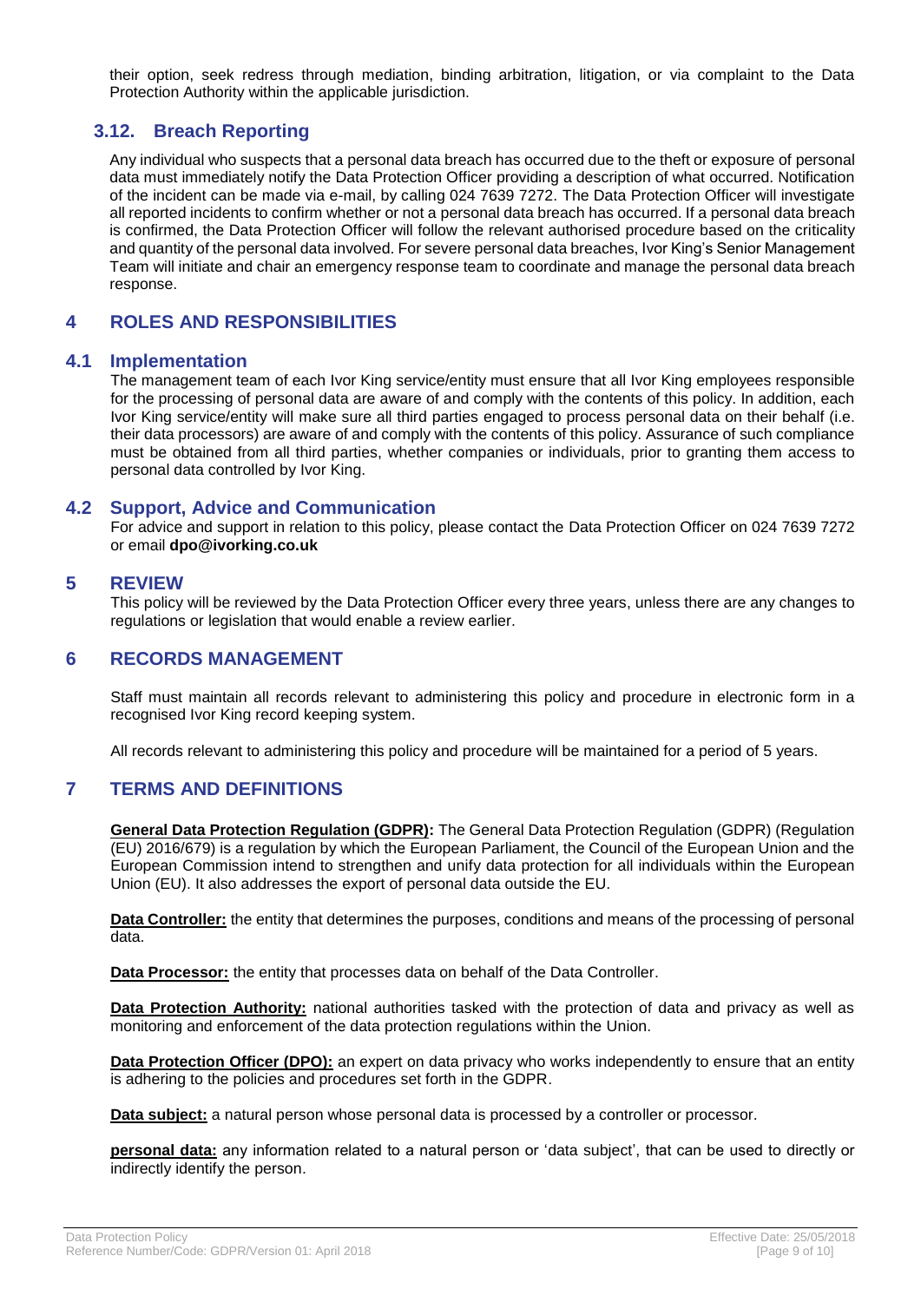their option, seek redress through mediation, binding arbitration, litigation, or via complaint to the Data Protection Authority within the applicable jurisdiction.

## <span id="page-8-0"></span>**3.12. Breach Reporting**

Any individual who suspects that a personal data breach has occurred due to the theft or exposure of personal data must immediately notify the Data Protection Officer providing a description of what occurred. Notification of the incident can be made via e-mail, by calling 024 7639 7272. The Data Protection Officer will investigate all reported incidents to confirm whether or not a personal data breach has occurred. If a personal data breach is confirmed, the Data Protection Officer will follow the relevant authorised procedure based on the criticality and quantity of the personal data involved. For severe personal data breaches, Ivor King's Senior Management Team will initiate and chair an emergency response team to coordinate and manage the personal data breach response.

## <span id="page-8-1"></span>**4 ROLES AND RESPONSIBILITIES**

#### <span id="page-8-2"></span>**4.1 Implementation**

The management team of each Ivor King service/entity must ensure that all Ivor King employees responsible for the processing of personal data are aware of and comply with the contents of this policy. In addition, each Ivor King service/entity will make sure all third parties engaged to process personal data on their behalf (i.e. their data processors) are aware of and comply with the contents of this policy. Assurance of such compliance must be obtained from all third parties, whether companies or individuals, prior to granting them access to personal data controlled by Ivor King.

## <span id="page-8-3"></span>**4.2 Support, Advice and Communication**

For advice and support in relation to this policy, please contact the Data Protection Officer on 024 7639 7272 or email **dpo@ivorking.co.uk**

## <span id="page-8-4"></span>**5 REVIEW**

This policy will be reviewed by the Data Protection Officer every three years, unless there are any changes to regulations or legislation that would enable a review earlier.

## <span id="page-8-5"></span>**6 RECORDS MANAGEMENT**

Staff must maintain all records relevant to administering this policy and procedure in electronic form in a recognised Ivor King record keeping system.

All records relevant to administering this policy and procedure will be maintained for a period of 5 years.

## <span id="page-8-6"></span>**7 TERMS AND DEFINITIONS**

**General Data Protection Regulation (GDPR):** The General Data Protection Regulation (GDPR) (Regulation (EU) 2016/679) is a regulation by which the European Parliament, the Council of the European Union and the European Commission intend to strengthen and unify data protection for all individuals within the European Union (EU). It also addresses the export of personal data outside the EU.

**Data Controller:** the entity that determines the purposes, conditions and means of the processing of personal data.

**Data Processor:** the entity that processes data on behalf of the Data Controller.

**Data Protection Authority:** national authorities tasked with the protection of data and privacy as well as monitoring and enforcement of the data protection regulations within the Union.

**Data Protection Officer (DPO):** an expert on data privacy who works independently to ensure that an entity is adhering to the policies and procedures set forth in the GDPR.

**Data subject:** a natural person whose personal data is processed by a controller or processor.

**personal data:** any information related to a natural person or 'data subject', that can be used to directly or indirectly identify the person.